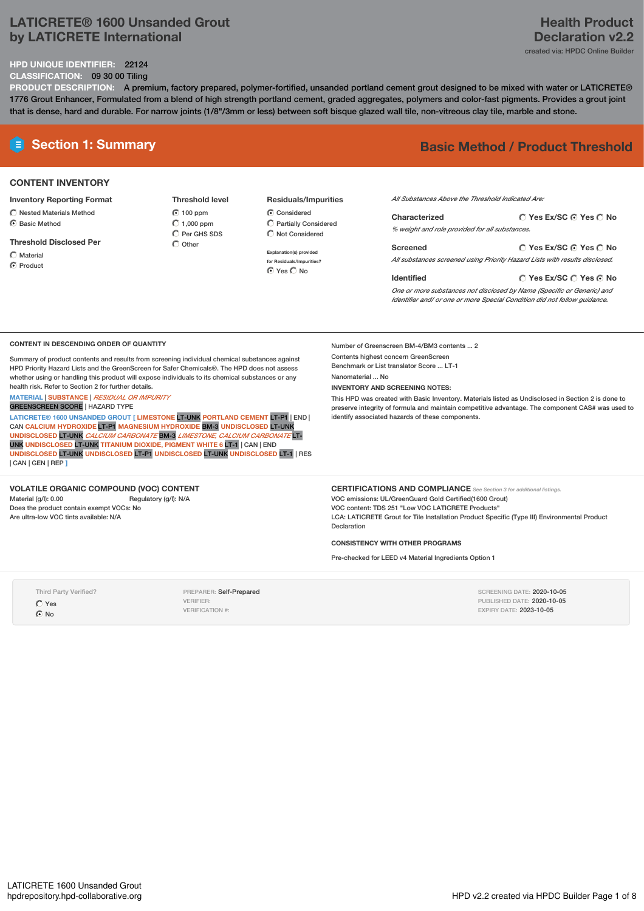# **LATICRETE® 1600 Unsanded Grout by LATICRETE International**

# **HPD UNIQUE IDENTIFIER:** 22124

### **CLASSIFICATION:** 09 30 00 Tiling

**PRODUCT DESCRIPTION:** A premium, factory prepared, polymer-fortified, unsanded portland cement grout designed to be mixed with water or LATICRETE® 1776 Grout Enhancer, Formulated from a blend of high strength portland cement, graded aggregates, polymers and color-fast pigments. Provides a grout joint that is dense, hard and durable. For narrow joints (1/8"/3mm or less) between soft bisque glazed wall tile, non-vitreous clay tile, marble and stone.

### **CONTENT INVENTORY**

**Inventory Reporting Format**

- $\bigcirc$  Nested Materials Method  $\bigcap$  Basic Method
- **Threshold Disclosed Per**
- $\bigcap$  Material

C Product

**Threshold level** 100 ppm  $\bigcirc$  1,000 ppm  $\overline{O}$  Per GHS SDS  $\bigcap$  Other

**Residuals/Impurities** Considered Partially Considered  $\bigcirc$  Not Considered

**Explanation(s) provided for Residuals/Impurities?** ⊙ Yes O No

# **E Section 1: Summary Basic Method / Product Threshold**

*All Substances Above the Threshold Indicated Are:*

| Characterized                                  | ○ Yes Ex/SC ⊙ Yes ○ No                          |
|------------------------------------------------|-------------------------------------------------|
| % weight and role provided for all substances. |                                                 |
| Screened                                       | $\bigcap$ Ves Ex/SC $\bigcap$ Ves $\bigcap$ No. |

**Yes Ex/SC Yes No Screened** *All substances screened using Priority Hazard Lists with results disclosed.*

**Yes Ex/SC Yes No Identified** *One or more substances not disclosed by Name (Specific or Generic) and Identifier and/ or one or more Special Condition did not follow guidance.*

### **CONTENT IN DESCENDING ORDER OF QUANTITY**

Summary of product contents and results from screening individual chemical substances against HPD Priority Hazard Lists and the GreenScreen for Safer Chemicals®. The HPD does not assess whether using or handling this product will expose individuals to its chemical substances or any health risk. Refer to Section 2 for further details.

**MATERIAL** | **SUBSTANCE** | *RESIDUAL OR IMPURITY*

GREENSCREEN SCORE | HAZARD TYPE

**LATICRETE® 1600 UNSANDED GROUT [ LIMESTONE** LT-UNK **PORTLAND CEMENT** LT-P1 | END | CAN **CALCIUM HYDROXIDE** LT-P1 **MAGNESIUM HYDROXIDE** BM-3 **UNDISCLOSED** LT-UNK **UNDISCLOSED** LT-UNK *CALCIUM CARBONATE* BM-3 *LIMESTONE, CALCIUM CARBONATE* LT-UNK **UNDISCLOSED** LT-UNK **TITANIUM DIOXIDE, PIGMENT WHITE 6** LT-1 | CAN | END **UNDISCLOSED** LT-UNK **UNDISCLOSED** LT-P1 **UNDISCLOSED** LT-UNK **UNDISCLOSED** LT-1 | RES | CAN | GEN | REP **]**

### **VOLATILE ORGANIC COMPOUND (VOC) CONTENT**

Material (g/l): 0.00 Regulatory (g/l): N/A Does the product contain exempt VOCs: No Are ultra-low VOC tints available: N/A

Number of Greenscreen BM-4/BM3 contents ... 2 Contents highest concern GreenScreen Benchmark or List translator Score ... LT-1 Nanomaterial ... No

**INVENTORY AND SCREENING NOTES:**

This HPD was created with Basic Inventory. Materials listed as Undisclosed in Section 2 is done to preserve integrity of formula and maintain competitive advantage. The component CAS# was used to identify associated hazards of these components.

**CERTIFICATIONS AND COMPLIANCE** *See Section <sup>3</sup> for additional listings.* VOC emissions: UL/GreenGuard Gold Certified(1600 Grout) VOC content: TDS 251 "Low VOC LATICRETE Products" LCA: LATICRETE Grout for Tile Installation Product Specific (Type III) Environmental Product Declaration

### **CONSISTENCY WITH OTHER PROGRAMS**

Pre-checked for LEED v4 Material Ingredients Option 1

Third Party Verified? Yes  $\odot$  No

PREPARER: Self-Prepared VERIFIER: VERIFICATION #:

SCREENING DATE: 2020-10-05 PUBLISHED DATE: 2020-10-05 EXPIRY DATE: 2023-10-05

## **Health Product Declaration v2.2** created via: HPDC Online Builder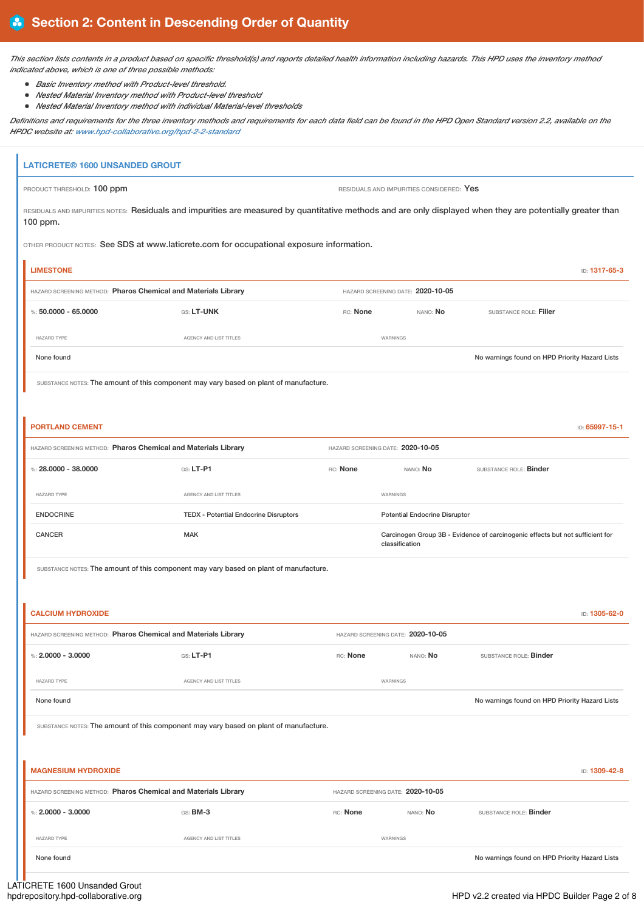This section lists contents in a product based on specific threshold(s) and reports detailed health information including hazards. This HPD uses the inventory method *indicated above, which is one of three possible methods:*

- *Basic Inventory method with Product-level threshold.*
- *Nested Material Inventory method with Product-level threshold*
- *Nested Material Inventory method with individual Material-level thresholds*

Definitions and requirements for the three inventory methods and requirements for each data field can be found in the HPD Open Standard version 2.2, available on the *HPDC website at: [www.hpd-collaborative.org/hpd-2-2-standard](https://www.hpd-collaborative.org/hpd-2-2-standard)*

# **LATICRETE® 1600 UNSANDED GROUT** PRODUCT THRESHOLD: 100 ppm **RESIDUALS** AND IMPURITIES CONSIDERED: Yes RESIDUALS AND IMPURITIES NOTES: Residuals and impurities are measured by quantitative methods and are only displayed when they are potentially greater than 100 ppm. OTHER PRODUCT NOTES: See SDS at www.laticrete.com for occupational exposure information. **LIMESTONE** ID: **1317-65-3**

| HAZARD SCREENING METHOD: Pharos Chemical and Materials Library |                                                                                       |                                   | HAZARD SCREENING DATE: 2020-10-05 |                                      |                                                                               |                |
|----------------------------------------------------------------|---------------------------------------------------------------------------------------|-----------------------------------|-----------------------------------|--------------------------------------|-------------------------------------------------------------------------------|----------------|
| %: $50,0000 - 65,0000$                                         | GS: LT-UNK                                                                            | RC: None                          |                                   | NANO: No                             | SUBSTANCE ROLE: Filler                                                        |                |
| HAZARD TYPE                                                    | AGENCY AND LIST TITLES                                                                |                                   | WARNINGS                          |                                      |                                                                               |                |
| None found                                                     |                                                                                       |                                   |                                   |                                      | No warnings found on HPD Priority Hazard Lists                                |                |
|                                                                | SUBSTANCE NOTES: The amount of this component may vary based on plant of manufacture. |                                   |                                   |                                      |                                                                               |                |
|                                                                |                                                                                       |                                   |                                   |                                      |                                                                               |                |
| <b>PORTLAND CEMENT</b>                                         |                                                                                       |                                   |                                   |                                      |                                                                               | ID: 65997-15-1 |
| HAZARD SCREENING METHOD: Pharos Chemical and Materials Library |                                                                                       | HAZARD SCREENING DATE: 2020-10-05 |                                   |                                      |                                                                               |                |
| %: $28,0000 - 38,0000$                                         | GS: LT-P1                                                                             | RC: None                          |                                   | NANO: No                             | SUBSTANCE ROLE: Binder                                                        |                |
| <b>HAZARD TYPE</b>                                             | AGENCY AND LIST TITLES                                                                |                                   | WARNINGS                          |                                      |                                                                               |                |
| <b>ENDOCRINE</b>                                               | <b>TEDX</b> - Potential Endocrine Disruptors                                          |                                   |                                   | <b>Potential Endocrine Disruptor</b> |                                                                               |                |
| <b>CANCER</b>                                                  | <b>MAK</b>                                                                            |                                   | classification                    |                                      | Carcinogen Group 3B - Evidence of carcinogenic effects but not sufficient for |                |

SUBSTANCE NOTES: The amount of this component may vary based on plant of manufacture.

| ID: 1305-62-0                                                                         |                 |                                   |                        | <b>CALCIUM HYDROXIDE</b>                                       |
|---------------------------------------------------------------------------------------|-----------------|-----------------------------------|------------------------|----------------------------------------------------------------|
|                                                                                       |                 | HAZARD SCREENING DATE: 2020-10-05 |                        | HAZARD SCREENING METHOD: Pharos Chemical and Materials Library |
| SUBSTANCE ROLE: Binder                                                                | NANO: No        | RC: None                          | $GS: LT-P1$            | %: $2,0000 - 3,0000$                                           |
|                                                                                       |                 | WARNINGS                          | AGENCY AND LIST TITLES | <b>HAZARD TYPE</b>                                             |
| No warnings found on HPD Priority Hazard Lists                                        |                 |                                   |                        | None found                                                     |
| SUBSTANCE NOTES: The amount of this component may vary based on plant of manufacture. |                 |                                   |                        |                                                                |
|                                                                                       |                 |                                   |                        |                                                                |
| ID: 1309-42-8                                                                         |                 |                                   |                        | <b>MAGNESIUM HYDROXIDE</b>                                     |
|                                                                                       |                 | HAZARD SCREENING DATE: 2020-10-05 |                        | HAZARD SCREENING METHOD: Pharos Chemical and Materials Library |
| SUBSTANCE ROLE: Binder                                                                | NANO: <b>No</b> | RC: None                          | GS: BM-3               | %: $2,0000 - 3,0000$                                           |
|                                                                                       |                 | WARNINGS                          | AGENCY AND LIST TITLES | <b>HAZARD TYPE</b>                                             |

None found on HPD Priority Hazard Lists No warnings found on HPD Priority Hazard Lists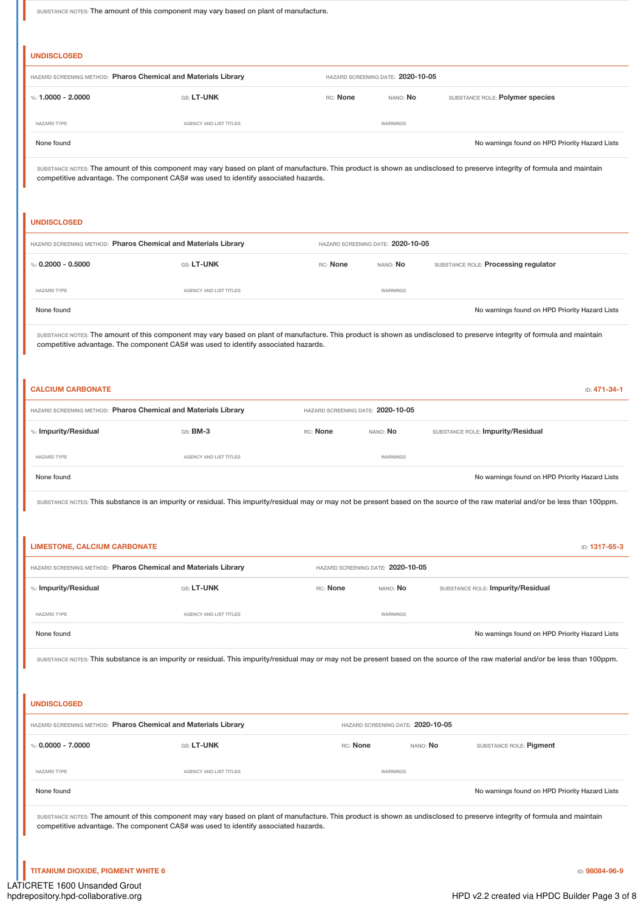SUBSTANCE NOTES: The amount of this component may vary based on plant of manufacture.

|                                                                                                                                             | HAZARD SCREENING METHOD: Pharos Chemical and Materials Library                     |                                   | HAZARD SCREENING DATE: 2020-10-05 |                                                                                                                                                                                                                                                                                                                                                                                                                                                                                           |
|---------------------------------------------------------------------------------------------------------------------------------------------|------------------------------------------------------------------------------------|-----------------------------------|-----------------------------------|-------------------------------------------------------------------------------------------------------------------------------------------------------------------------------------------------------------------------------------------------------------------------------------------------------------------------------------------------------------------------------------------------------------------------------------------------------------------------------------------|
| %: $1.0000 - 2.0000$                                                                                                                        | GS: LT-UNK                                                                         | RC: None                          | NANO: No                          | SUBSTANCE ROLE: Polymer species                                                                                                                                                                                                                                                                                                                                                                                                                                                           |
| HAZARD TYPE                                                                                                                                 | AGENCY AND LIST TITLES                                                             |                                   | WARNINGS                          |                                                                                                                                                                                                                                                                                                                                                                                                                                                                                           |
| None found                                                                                                                                  |                                                                                    |                                   |                                   | No warnings found on HPD Priority Hazard Lists                                                                                                                                                                                                                                                                                                                                                                                                                                            |
|                                                                                                                                             | competitive advantage. The component CAS# was used to identify associated hazards. |                                   |                                   | SUBSTANCE NOTES: The amount of this component may vary based on plant of manufacture. This product is shown as undisclosed to preserve integrity of formula and maintain                                                                                                                                                                                                                                                                                                                  |
| <b>UNDISCLOSED</b>                                                                                                                          |                                                                                    |                                   |                                   |                                                                                                                                                                                                                                                                                                                                                                                                                                                                                           |
|                                                                                                                                             | HAZARD SCREENING METHOD: Pharos Chemical and Materials Library                     |                                   | HAZARD SCREENING DATE: 2020-10-05 |                                                                                                                                                                                                                                                                                                                                                                                                                                                                                           |
| %: $0.2000 - 0.5000$                                                                                                                        | GS: LT-UNK                                                                         | RC: None                          | NANO: No                          | SUBSTANCE ROLE: Processing regulator                                                                                                                                                                                                                                                                                                                                                                                                                                                      |
| <b>HAZARD TYPE</b>                                                                                                                          | AGENCY AND LIST TITLES                                                             |                                   | WARNINGS                          |                                                                                                                                                                                                                                                                                                                                                                                                                                                                                           |
| None found                                                                                                                                  |                                                                                    |                                   |                                   | No warnings found on HPD Priority Hazard Lists                                                                                                                                                                                                                                                                                                                                                                                                                                            |
|                                                                                                                                             | competitive advantage. The component CAS# was used to identify associated hazards. |                                   |                                   | SUBSTANCE NOTES: The amount of this component may vary based on plant of manufacture. This product is shown as undisclosed to preserve integrity of formula and maintain                                                                                                                                                                                                                                                                                                                  |
| <b>CALCIUM CARBONATE</b>                                                                                                                    |                                                                                    |                                   |                                   | ID: 471-34-1                                                                                                                                                                                                                                                                                                                                                                                                                                                                              |
|                                                                                                                                             | HAZARD SCREENING METHOD: Pharos Chemical and Materials Library                     | HAZARD SCREENING DATE: 2020-10-05 |                                   |                                                                                                                                                                                                                                                                                                                                                                                                                                                                                           |
| %: Impurity/Residual                                                                                                                        | GS: BM-3                                                                           | RC: None                          | NANO: No                          | SUBSTANCE ROLE: Impurity/Residual                                                                                                                                                                                                                                                                                                                                                                                                                                                         |
|                                                                                                                                             |                                                                                    |                                   |                                   |                                                                                                                                                                                                                                                                                                                                                                                                                                                                                           |
|                                                                                                                                             | AGENCY AND LIST TITLES                                                             |                                   | WARNINGS                          |                                                                                                                                                                                                                                                                                                                                                                                                                                                                                           |
|                                                                                                                                             |                                                                                    |                                   |                                   |                                                                                                                                                                                                                                                                                                                                                                                                                                                                                           |
|                                                                                                                                             |                                                                                    |                                   |                                   |                                                                                                                                                                                                                                                                                                                                                                                                                                                                                           |
|                                                                                                                                             |                                                                                    |                                   |                                   |                                                                                                                                                                                                                                                                                                                                                                                                                                                                                           |
|                                                                                                                                             | HAZARD SCREENING METHOD: Pharos Chemical and Materials Library                     |                                   | HAZARD SCREENING DATE: 2020-10-05 |                                                                                                                                                                                                                                                                                                                                                                                                                                                                                           |
|                                                                                                                                             | GS: LT-UNK                                                                         | RC: None                          | NANO: No                          | SUBSTANCE ROLE: Impurity/Residual                                                                                                                                                                                                                                                                                                                                                                                                                                                         |
|                                                                                                                                             | AGENCY AND LIST TITLES                                                             |                                   | WARNINGS                          |                                                                                                                                                                                                                                                                                                                                                                                                                                                                                           |
|                                                                                                                                             |                                                                                    |                                   |                                   |                                                                                                                                                                                                                                                                                                                                                                                                                                                                                           |
|                                                                                                                                             |                                                                                    |                                   |                                   |                                                                                                                                                                                                                                                                                                                                                                                                                                                                                           |
| HAZARD TYPE<br>None found<br><b>LIMESTONE, CALCIUM CARBONATE</b><br>%: Impurity/Residual<br>HAZARD TYPE<br>None found<br><b>UNDISCLOSED</b> |                                                                                    |                                   |                                   |                                                                                                                                                                                                                                                                                                                                                                                                                                                                                           |
|                                                                                                                                             | HAZARD SCREENING METHOD: Pharos Chemical and Materials Library                     |                                   | HAZARD SCREENING DATE: 2020-10-05 |                                                                                                                                                                                                                                                                                                                                                                                                                                                                                           |
| %: $0.0000 - 7.0000$                                                                                                                        | GS: LT-UNK                                                                         | RC: None                          | NANO: No                          | SUBSTANCE ROLE: Pigment                                                                                                                                                                                                                                                                                                                                                                                                                                                                   |
| <b>HAZARD TYPE</b>                                                                                                                          | AGENCY AND LIST TITLES                                                             |                                   | WARNINGS                          | No warnings found on HPD Priority Hazard Lists<br>SUBSTANCE NOTES: This substance is an impurity or residual. This impurity/residual may or may not be present based on the source of the raw material and/or be less than 100ppm.<br>ID: 1317-65-3<br>No warnings found on HPD Priority Hazard Lists<br>SUBSTANCE NOTES: This substance is an impurity or residual. This impurity/residual may or may not be present based on the source of the raw material and/or be less than 100ppm. |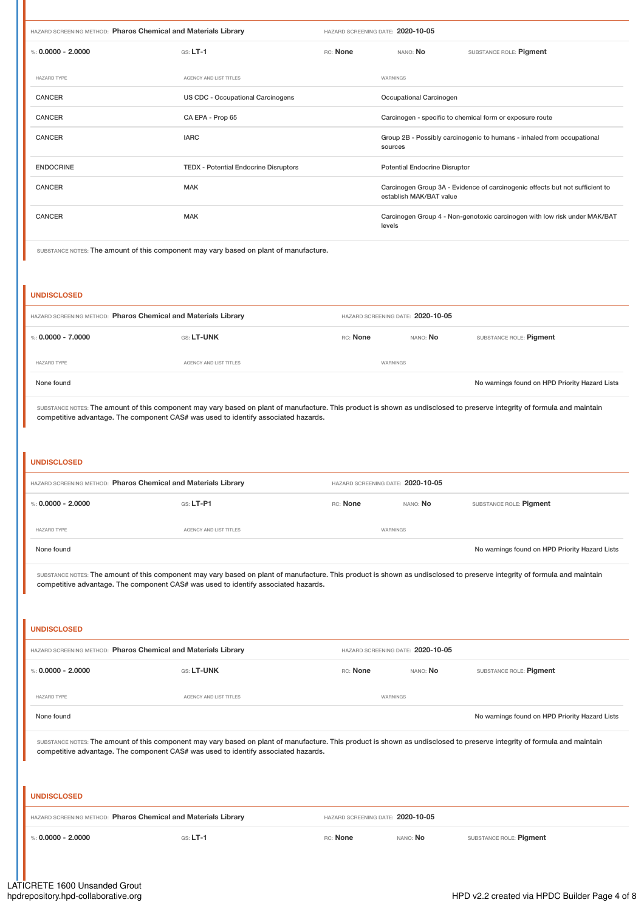| HAZARD SCREENING METHOD: Pharos Chemical and Materials Library |                                              | HAZARD SCREENING DATE: 2020-10-05 |                                                                                   |                                      |                                                                              |
|----------------------------------------------------------------|----------------------------------------------|-----------------------------------|-----------------------------------------------------------------------------------|--------------------------------------|------------------------------------------------------------------------------|
| %: $0.0000 - 2.0000$                                           | $GS: LT-1$                                   | RC: None                          |                                                                                   | NANO: <b>No</b>                      | SUBSTANCE ROLE: Pigment                                                      |
| HAZARD TYPE                                                    | AGENCY AND LIST TITLES                       |                                   | WARNINGS                                                                          |                                      |                                                                              |
| <b>CANCER</b>                                                  | US CDC - Occupational Carcinogens            |                                   |                                                                                   | Occupational Carcinogen              |                                                                              |
| <b>CANCER</b>                                                  | CA EPA - Prop 65                             |                                   | Carcinogen - specific to chemical form or exposure route                          |                                      |                                                                              |
| <b>CANCER</b>                                                  | <b>IARC</b>                                  |                                   | Group 2B - Possibly carcinogenic to humans - inhaled from occupational<br>sources |                                      |                                                                              |
| <b>ENDOCRINE</b>                                               | <b>TEDX - Potential Endocrine Disruptors</b> |                                   |                                                                                   | <b>Potential Endocrine Disruptor</b> |                                                                              |
| <b>CANCER</b>                                                  | <b>MAK</b>                                   |                                   |                                                                                   | establish MAK/BAT value              | Carcinogen Group 3A - Evidence of carcinogenic effects but not sufficient to |
| <b>CANCER</b>                                                  | <b>MAK</b>                                   |                                   | levels                                                                            |                                      | Carcinogen Group 4 - Non-genotoxic carcinogen with low risk under MAK/BAT    |
|                                                                |                                              |                                   |                                                                                   |                                      |                                                                              |

SUBSTANCE NOTES: The amount of this component may vary based on plant of manufacture.

### **UNDISCLOSED**

| HAZARD SCREENING METHOD: Pharos Chemical and Materials Library |                        | HAZARD SCREENING DATE: 2020-10-05 |                 |                                                |
|----------------------------------------------------------------|------------------------|-----------------------------------|-----------------|------------------------------------------------|
| %: 0.0000 - 7.0000                                             | GS: LT-UNK             | RC: None                          | NANO: <b>No</b> | SUBSTANCE ROLE: Pigment                        |
| <b>HAZARD TYPE</b>                                             | AGENCY AND LIST TITLES | WARNINGS                          |                 |                                                |
| None found                                                     |                        |                                   |                 | No warnings found on HPD Priority Hazard Lists |
|                                                                |                        |                                   |                 |                                                |

SUBSTANCE NOTES: The amount of this component may vary based on plant of manufacture. This product is shown as undisclosed to preserve integrity of formula and maintain competitive advantage. The component CAS# was used to identify associated hazards.

### **UNDISCLOSED**

| HAZARD SCREENING METHOD: Pharos Chemical and Materials Library |                        | HAZARD SCREENING DATE: 2020-10-05 |                 |                                                |
|----------------------------------------------------------------|------------------------|-----------------------------------|-----------------|------------------------------------------------|
| %: $0.0000 - 2.0000$                                           | $GS: LT-PI$            | RC: None                          | nano: <b>No</b> | SUBSTANCE ROLE: Pigment                        |
| <b>HAZARD TYPE</b>                                             | AGENCY AND LIST TITLES | WARNINGS                          |                 |                                                |
| None found                                                     |                        |                                   |                 | No warnings found on HPD Priority Hazard Lists |

SUBSTANCE NOTES: The amount of this component may vary based on plant of manufacture. This product is shown as undisclosed to preserve integrity of formula and maintain competitive advantage. The component CAS# was used to identify associated hazards.

# **UNDISCLOSED** HAZARD SCREENING METHOD: **Pharos Chemical and Materials Library** HAZARD SCREENING DATE: **2020-10-05** %: **0.0000 - 2.0000** GS: **LT-UNK** RC: **None** NANO: **No** SUBSTANCE ROLE: **Pigment** HAZARD TYPE **AGENCY AND LIST TITLES** AGENCY AND LIST TITLES None found on HPD Priority Hazard Lists SUBSTANCE NOTES: The amount of this component may vary based on plant of manufacture. This product is shown as undisclosed to preserve integrity of formula and maintain

competitive advantage. The component CAS# was used to identify associated hazards.

| <b>UNDISCLOSED</b>                                             |            |                                   |                 |                         |
|----------------------------------------------------------------|------------|-----------------------------------|-----------------|-------------------------|
| HAZARD SCREENING METHOD: Pharos Chemical and Materials Library |            | HAZARD SCREENING DATE: 2020-10-05 |                 |                         |
| %: 0.0000 - 2.0000                                             | $GS: LT-1$ | RC: None                          | nano: <b>No</b> | SUBSTANCE ROLE: Pigment |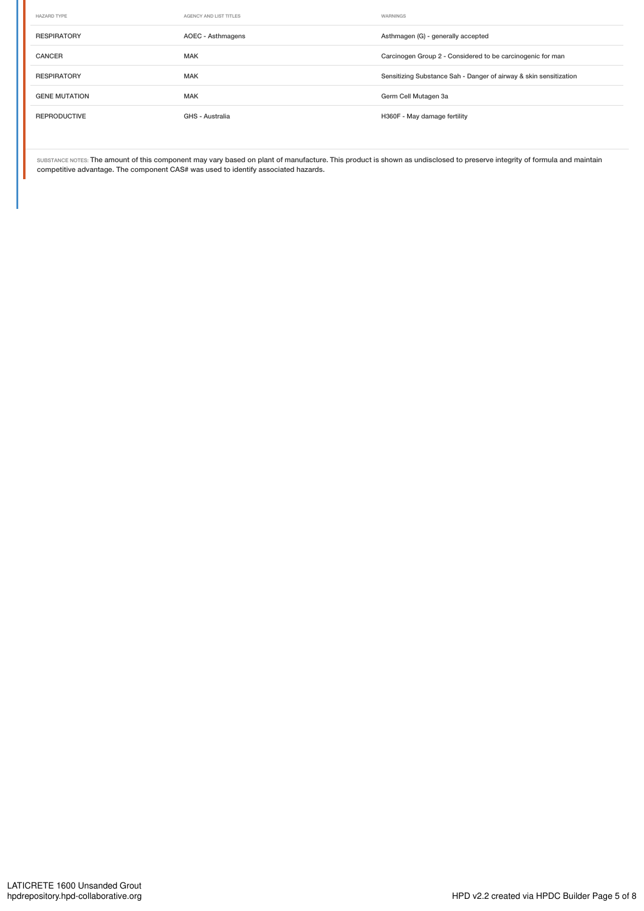| HAZARD TYPE          | AGENCY AND LIST TITLES | WARNINGS                                                          |
|----------------------|------------------------|-------------------------------------------------------------------|
| <b>RESPIRATORY</b>   | AOEC - Asthmagens      | Asthmagen (G) - generally accepted                                |
| <b>CANCER</b>        | <b>MAK</b>             | Carcinogen Group 2 - Considered to be carcinogenic for man        |
| <b>RESPIRATORY</b>   | <b>MAK</b>             | Sensitizing Substance Sah - Danger of airway & skin sensitization |
| <b>GENE MUTATION</b> | <b>MAK</b>             | Germ Cell Mutagen 3a                                              |
| <b>REPRODUCTIVE</b>  | GHS - Australia        | H360F - May damage fertility                                      |

SUBSTANCE NOTES: The amount of this component may vary based on plant of manufacture. This product is shown as undisclosed to preserve integrity of formula and maintain competitive advantage. The component CAS# was used to identify associated hazards.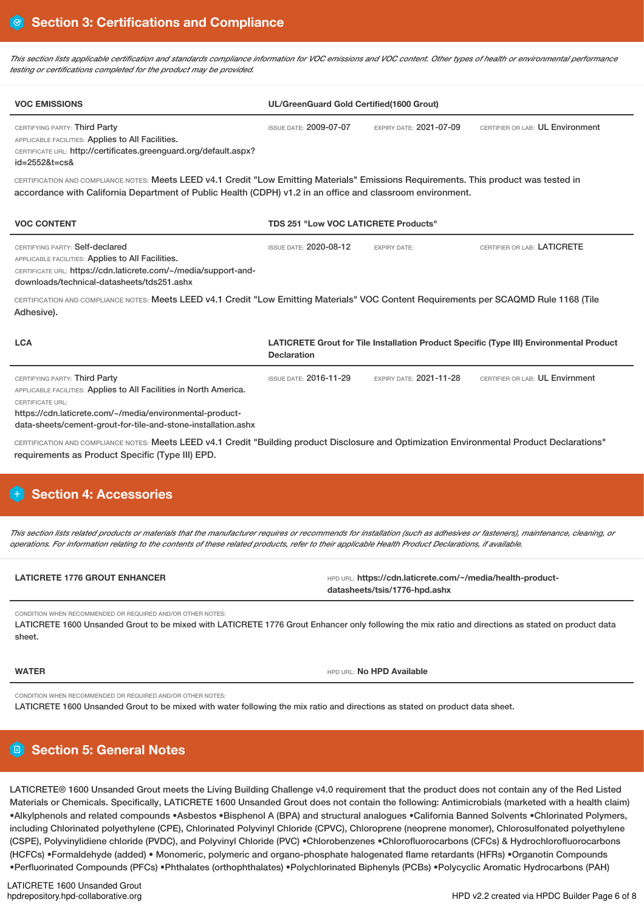This section lists applicable certification and standards compliance information for VOC emissions and VOC content. Other types of health or environmental performance *testing or certifications completed for the product may be provided.*

| <b>VOC EMISSIONS</b>                                                                                                                                                                                                                                        | UL/GreenGuard Gold Certified(1600 Grout)    |                                |                                                                                         |
|-------------------------------------------------------------------------------------------------------------------------------------------------------------------------------------------------------------------------------------------------------------|---------------------------------------------|--------------------------------|-----------------------------------------------------------------------------------------|
| CERTIFYING PARTY: Third Party<br>APPLICABLE FACILITIES: Applies to All Facilities.<br>CERTIFICATE URL: http://certificates.greenguard.org/default.aspx?<br>$id = 25528t = c s$                                                                              | <b>ISSUE DATE: 2009-07-07</b>               | EXPIRY DATE: 2021-07-09        | CERTIFIER OR LAB: UL Environment                                                        |
| CERTIFICATION AND COMPLIANCE NOTES: Meets LEED v4.1 Credit "Low Emitting Materials" Emissions Requirements. This product was tested in<br>accordance with California Department of Public Health (CDPH) v1.2 in an office and classroom environment.        |                                             |                                |                                                                                         |
| <b>VOC CONTENT</b>                                                                                                                                                                                                                                          | <b>TDS 251 "Low VOC LATICRETE Products"</b> |                                |                                                                                         |
| CERTIFYING PARTY: Self-declared<br>APPLICABLE FACILITIES: Applies to All Facilities.<br>CERTIFICATE URL: https://cdn.laticrete.com/~/media/support-and-<br>downloads/technical-datasheets/tds251.ashx                                                       | <b>ISSUE DATE: 2020-08-12</b>               | <b>EXPIRY DATE:</b>            | CERTIFIER OR LAB: LATICRETE                                                             |
| CERTIFICATION AND COMPLIANCE NOTES: Meets LEED v4.1 Credit "Low Emitting Materials" VOC Content Requirements per SCAQMD Rule 1168 (Tile<br>Adhesive).                                                                                                       |                                             |                                |                                                                                         |
| <b>LCA</b>                                                                                                                                                                                                                                                  | <b>Declaration</b>                          |                                | LATICRETE Grout for Tile Installation Product Specific (Type III) Environmental Product |
| CERTIFYING PARTY: Third Party<br>APPLICABLE FACILITIES: Applies to All Facilities in North America.<br><b>CERTIFICATE URL:</b><br>https://cdn.laticrete.com/~/media/environmental-product-<br>data-sheets/cement-grout-for-tile-and-stone-installation.ashx | <b>ISSUE DATE: 2016-11-29</b>               | <b>EXPIRY DATE: 2021-11-28</b> | CERTIFIER OR LAB: UL Envirnment                                                         |
| CERTIFICATION AND COMPLIANCE NOTES: Meets LEED v4.1 Credit "Building product Disclosure and Optimization Environmental Product Declarations"<br>requirements as Product Specific (Type III) EPD.                                                            |                                             |                                |                                                                                         |
| <b>Section 4: Accessories</b>                                                                                                                                                                                                                               |                                             |                                |                                                                                         |
|                                                                                                                                                                                                                                                             |                                             |                                |                                                                                         |

This section lists related products or materials that the manufacturer requires or recommends for installation (such as adhesives or fasteners), maintenance, cleaning, or operations. For information relating to the contents of these related products, refer to their applicable Health Product Declarations, if available,

| <b>LATICRETE 1776 GROUT ENHANCER</b> | HPD URL: https://cdn.laticrete.com/~/media/health-product- |
|--------------------------------------|------------------------------------------------------------|
|                                      | datasheets/tsis/1776-hpd.ashx                              |

CONDITION WHEN RECOMMENDED OR REQUIRED AND/OR OTHER NOTES:

LATICRETE 1600 Unsanded Grout to be mixed with LATICRETE 1776 Grout Enhancer only following the mix ratio and directions as stated on product data sheet.

**WATER WATER WATER WATER HPD AVAILABLE** 

CONDITION WHEN RECOMMENDED OR REQUIRED AND/OR OTHER NOTES:

LATICRETE 1600 Unsanded Grout to be mixed with water following the mix ratio and directions as stated on product data sheet.

# **Section 5: General Notes**

LATICRETE® 1600 Unsanded Grout meets the Living Building Challenge v4.0 requirement that the product does not contain any of the Red Listed Materials or Chemicals. Specifically, LATICRETE 1600 Unsanded Grout does not contain the following: Antimicrobials (marketed with a health claim) •Alkylphenols and related compounds •Asbestos •Bisphenol A (BPA) and structural analogues •California Banned Solvents •Chlorinated Polymers, including Chlorinated polyethylene (CPE), Chlorinated Polyvinyl Chloride (CPVC), Chloroprene (neoprene monomer), Chlorosulfonated polyethylene (CSPE), Polyvinylidiene chloride (PVDC), and Polyvinyl Chloride (PVC) •Chlorobenzenes •Chlorofluorocarbons (CFCs) & Hydrochlorofluorocarbons (HCFCs) •Formaldehyde (added) • Monomeric, polymeric and organo-phosphate halogenated flame retardants (HFRs) •Organotin Compounds •Perfluorinated Compounds (PFCs) •Phthalates (orthophthalates) •Polychlorinated Biphenyls (PCBs) •Polycyclic Aromatic Hydrocarbons (PAH)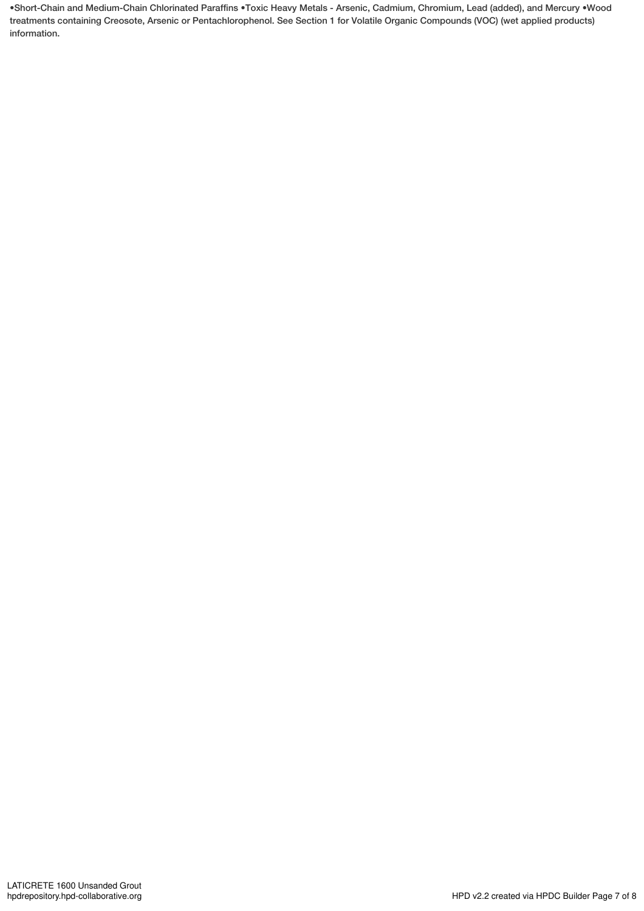•Short-Chain and Medium-Chain Chlorinated Paraffins •Toxic Heavy Metals - Arsenic, Cadmium, Chromium, Lead (added), and Mercury •Wood treatments containing Creosote, Arsenic or Pentachlorophenol. See Section 1 for Volatile Organic Compounds (VOC) (wet applied products) information.